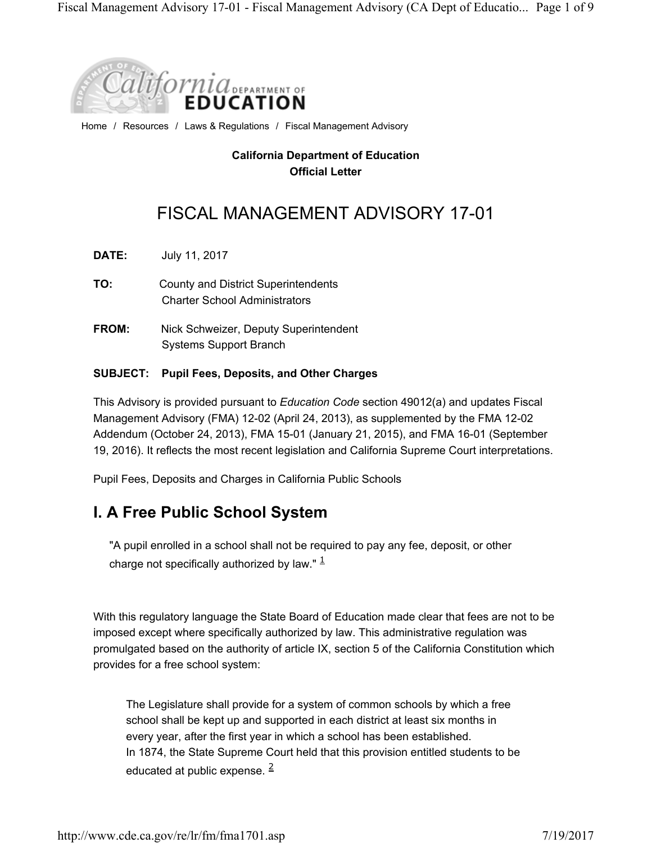

Home / Resources / Laws & Regulations / Fiscal Management Advisory

#### **California Department of Education Official Letter**

# FISCAL MANAGEMENT ADVISORY 17-01

**DATE:** July 11, 2017

- **TO:** County and District Superintendents Charter School Administrators
- **FROM:** Nick Schweizer, Deputy Superintendent Systems Support Branch

#### **SUBJECT: Pupil Fees, Deposits, and Other Charges**

This Advisory is provided pursuant to *Education Code* section 49012(a) and updates Fiscal Management Advisory (FMA) 12-02 (April 24, 2013), as supplemented by the FMA 12-02 Addendum (October 24, 2013), FMA 15-01 (January 21, 2015), and FMA 16-01 (September 19, 2016). It reflects the most recent legislation and California Supreme Court interpretations.

Pupil Fees, Deposits and Charges in California Public Schools

## **I. A Free Public School System**

"A pupil enrolled in a school shall not be required to pay any fee, deposit, or other charge not specifically authorized by law."  $\frac{1}{2}$ 

With this regulatory language the State Board of Education made clear that fees are not to be imposed except where specifically authorized by law. This administrative regulation was promulgated based on the authority of article IX, section 5 of the California Constitution which provides for a free school system:

The Legislature shall provide for a system of common schools by which a free school shall be kept up and supported in each district at least six months in every year, after the first year in which a school has been established. In 1874, the State Supreme Court held that this provision entitled students to be educated at public expense.  $\frac{2}{3}$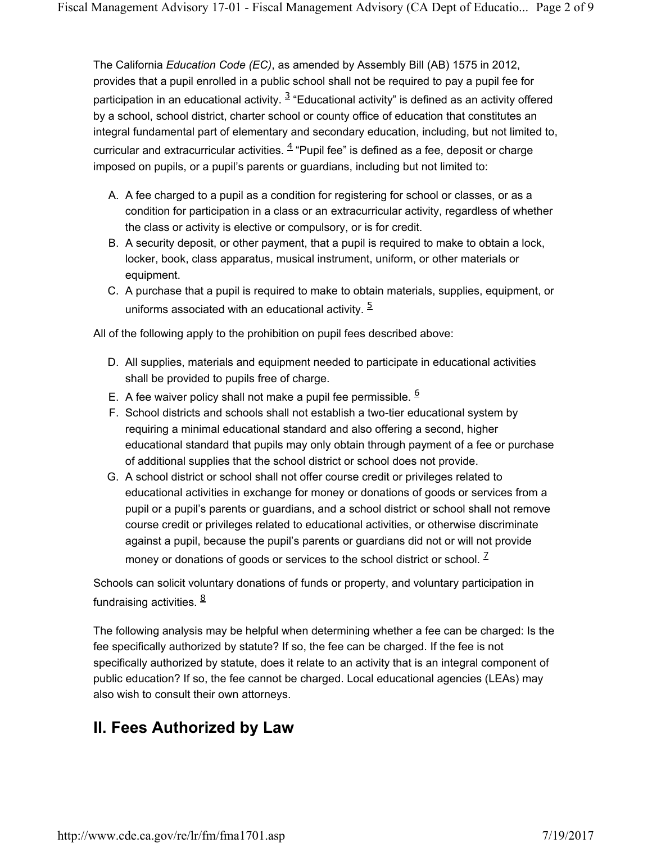The California *Education Code (EC)*, as amended by Assembly Bill (AB) 1575 in 2012, provides that a pupil enrolled in a public school shall not be required to pay a pupil fee for participation in an educational activity.  $3$  "Educational activity" is defined as an activity offered by a school, school district, charter school or county office of education that constitutes an integral fundamental part of elementary and secondary education, including, but not limited to, curricular and extracurricular activities.  $\frac{4}{5}$  "Pupil fee" is defined as a fee, deposit or charge imposed on pupils, or a pupil's parents or guardians, including but not limited to:

- A. A fee charged to a pupil as a condition for registering for school or classes, or as a condition for participation in a class or an extracurricular activity, regardless of whether the class or activity is elective or compulsory, or is for credit.
- B. A security deposit, or other payment, that a pupil is required to make to obtain a lock, locker, book, class apparatus, musical instrument, uniform, or other materials or equipment.
- C. A purchase that a pupil is required to make to obtain materials, supplies, equipment, or uniforms associated with an educational activity.  $\frac{5}{5}$

All of the following apply to the prohibition on pupil fees described above:

- D. All supplies, materials and equipment needed to participate in educational activities shall be provided to pupils free of charge.
- E. A fee waiver policy shall not make a pupil fee permissible.  $6$
- F. School districts and schools shall not establish a two-tier educational system by requiring a minimal educational standard and also offering a second, higher educational standard that pupils may only obtain through payment of a fee or purchase of additional supplies that the school district or school does not provide.
- G. A school district or school shall not offer course credit or privileges related to educational activities in exchange for money or donations of goods or services from a pupil or a pupil's parents or guardians, and a school district or school shall not remove course credit or privileges related to educational activities, or otherwise discriminate against a pupil, because the pupil's parents or guardians did not or will not provide money or donations of goods or services to the school district or school.  $\frac{1}{2}$

Schools can solicit voluntary donations of funds or property, and voluntary participation in fundraising activities.  $\frac{8}{3}$ 

The following analysis may be helpful when determining whether a fee can be charged: Is the fee specifically authorized by statute? If so, the fee can be charged. If the fee is not specifically authorized by statute, does it relate to an activity that is an integral component of public education? If so, the fee cannot be charged. Local educational agencies (LEAs) may also wish to consult their own attorneys.

# **II. Fees Authorized by Law**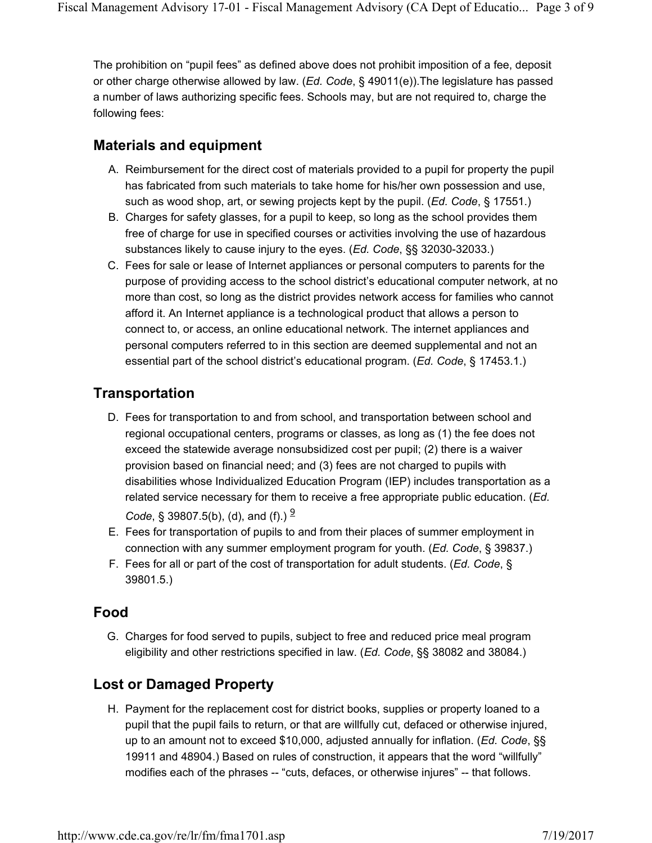The prohibition on "pupil fees" as defined above does not prohibit imposition of a fee, deposit or other charge otherwise allowed by law. (*Ed. Code*, § 49011(e)).The legislature has passed a number of laws authorizing specific fees. Schools may, but are not required to, charge the following fees:

### **Materials and equipment**

- A. Reimbursement for the direct cost of materials provided to a pupil for property the pupil has fabricated from such materials to take home for his/her own possession and use, such as wood shop, art, or sewing projects kept by the pupil. (*Ed. Code*, § 17551.)
- B. Charges for safety glasses, for a pupil to keep, so long as the school provides them free of charge for use in specified courses or activities involving the use of hazardous substances likely to cause injury to the eyes. (*Ed. Code*, §§ 32030-32033.)
- C. Fees for sale or lease of Internet appliances or personal computers to parents for the purpose of providing access to the school district's educational computer network, at no more than cost, so long as the district provides network access for families who cannot afford it. An Internet appliance is a technological product that allows a person to connect to, or access, an online educational network. The internet appliances and personal computers referred to in this section are deemed supplemental and not an essential part of the school district's educational program. (*Ed. Code*, § 17453.1.)

### **Transportation**

- D. Fees for transportation to and from school, and transportation between school and regional occupational centers, programs or classes, as long as (1) the fee does not exceed the statewide average nonsubsidized cost per pupil; (2) there is a waiver provision based on financial need; and (3) fees are not charged to pupils with disabilities whose Individualized Education Program (IEP) includes transportation as a related service necessary for them to receive a free appropriate public education. (*Ed. Code*, § 39807.5(b), (d), and (f).)  $\frac{9}{2}$
- E. Fees for transportation of pupils to and from their places of summer employment in connection with any summer employment program for youth. (*Ed. Code*, § 39837.)
- F. Fees for all or part of the cost of transportation for adult students. (*Ed. Code*, § 39801.5.)

#### **Food**

G. Charges for food served to pupils, subject to free and reduced price meal program eligibility and other restrictions specified in law. (*Ed. Code*, §§ 38082 and 38084.)

## **Lost or Damaged Property**

H. Payment for the replacement cost for district books, supplies or property loaned to a pupil that the pupil fails to return, or that are willfully cut, defaced or otherwise injured, up to an amount not to exceed \$10,000, adjusted annually for inflation. (*Ed. Code*, §§ 19911 and 48904.) Based on rules of construction, it appears that the word "willfully" modifies each of the phrases -- "cuts, defaces, or otherwise injures" -- that follows.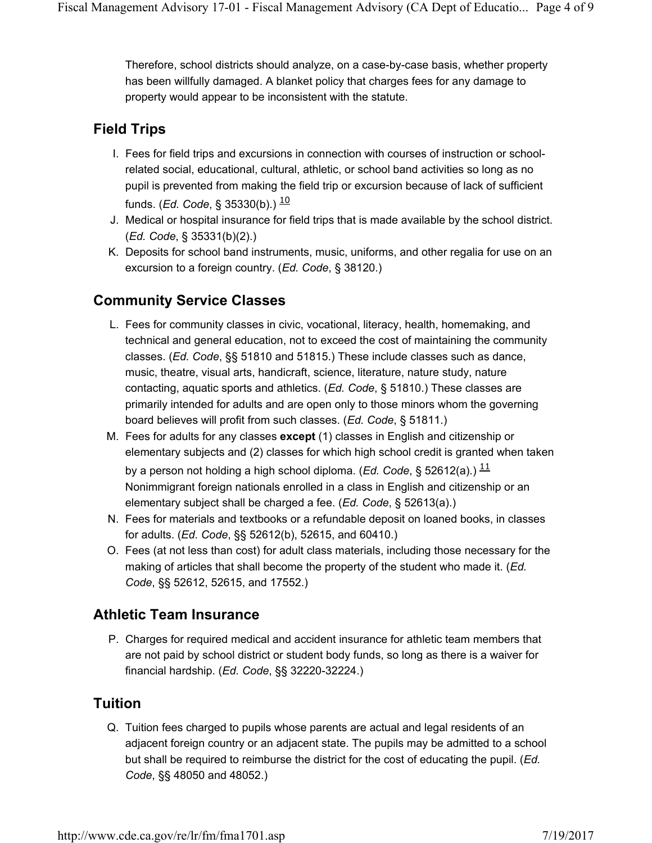Therefore, school districts should analyze, on a case-by-case basis, whether property has been willfully damaged. A blanket policy that charges fees for any damage to property would appear to be inconsistent with the statute.

#### **Field Trips**

- I. Fees for field trips and excursions in connection with courses of instruction or schoolrelated social, educational, cultural, athletic, or school band activities so long as no pupil is prevented from making the field trip or excursion because of lack of sufficient funds. (*Ed. Code*, § 35330(b).) <sup>10</sup>
- J. Medical or hospital insurance for field trips that is made available by the school district. (*Ed. Code*, § 35331(b)(2).)
- K. Deposits for school band instruments, music, uniforms, and other regalia for use on an excursion to a foreign country. (*Ed. Code*, § 38120.)

## **Community Service Classes**

- L. Fees for community classes in civic, vocational, literacy, health, homemaking, and technical and general education, not to exceed the cost of maintaining the community classes. (*Ed. Code*, §§ 51810 and 51815.) These include classes such as dance, music, theatre, visual arts, handicraft, science, literature, nature study, nature contacting, aquatic sports and athletics. (*Ed. Code*, § 51810.) These classes are primarily intended for adults and are open only to those minors whom the governing board believes will profit from such classes. (*Ed. Code*, § 51811.)
- M. Fees for adults for any classes **except** (1) classes in English and citizenship or elementary subjects and (2) classes for which high school credit is granted when taken by a person not holding a high school diploma. (*Ed. Code*, § 52612(a).)  $\frac{11}{1}$ Nonimmigrant foreign nationals enrolled in a class in English and citizenship or an elementary subject shall be charged a fee. (*Ed. Code*, § 52613(a).)
- N. Fees for materials and textbooks or a refundable deposit on loaned books, in classes for adults. (*Ed. Code*, §§ 52612(b), 52615, and 60410.)
- O. Fees (at not less than cost) for adult class materials, including those necessary for the making of articles that shall become the property of the student who made it. (*Ed. Code*, §§ 52612, 52615, and 17552.)

#### **Athletic Team Insurance**

P. Charges for required medical and accident insurance for athletic team members that are not paid by school district or student body funds, so long as there is a waiver for financial hardship. (*Ed. Code*, §§ 32220-32224.)

#### **Tuition**

Q. Tuition fees charged to pupils whose parents are actual and legal residents of an adjacent foreign country or an adjacent state. The pupils may be admitted to a school but shall be required to reimburse the district for the cost of educating the pupil. (*Ed. Code*, §§ 48050 and 48052.)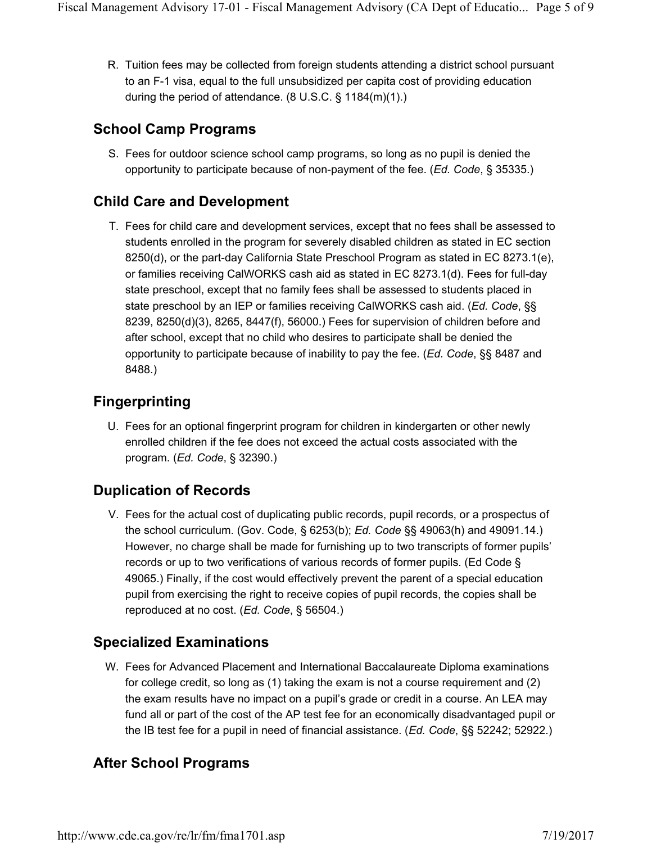R. Tuition fees may be collected from foreign students attending a district school pursuant to an F-1 visa, equal to the full unsubsidized per capita cost of providing education during the period of attendance. (8 U.S.C. § 1184(m)(1).)

#### **School Camp Programs**

S. Fees for outdoor science school camp programs, so long as no pupil is denied the opportunity to participate because of non-payment of the fee. (*Ed. Code*, § 35335.)

### **Child Care and Development**

T. Fees for child care and development services, except that no fees shall be assessed to students enrolled in the program for severely disabled children as stated in EC section 8250(d), or the part-day California State Preschool Program as stated in EC 8273.1(e), or families receiving CalWORKS cash aid as stated in EC 8273.1(d). Fees for full-day state preschool, except that no family fees shall be assessed to students placed in state preschool by an IEP or families receiving CalWORKS cash aid. (*Ed. Code*, §§ 8239, 8250(d)(3), 8265, 8447(f), 56000.) Fees for supervision of children before and after school, except that no child who desires to participate shall be denied the opportunity to participate because of inability to pay the fee. (*Ed. Code*, §§ 8487 and 8488.)

## **Fingerprinting**

U. Fees for an optional fingerprint program for children in kindergarten or other newly enrolled children if the fee does not exceed the actual costs associated with the program. (*Ed. Code*, § 32390.)

## **Duplication of Records**

V. Fees for the actual cost of duplicating public records, pupil records, or a prospectus of the school curriculum. (Gov. Code, § 6253(b); *Ed. Code* §§ 49063(h) and 49091.14.) However, no charge shall be made for furnishing up to two transcripts of former pupils' records or up to two verifications of various records of former pupils. (Ed Code § 49065.) Finally, if the cost would effectively prevent the parent of a special education pupil from exercising the right to receive copies of pupil records, the copies shall be reproduced at no cost. (*Ed. Code*, § 56504.)

## **Specialized Examinations**

W. Fees for Advanced Placement and International Baccalaureate Diploma examinations for college credit, so long as (1) taking the exam is not a course requirement and (2) the exam results have no impact on a pupil's grade or credit in a course. An LEA may fund all or part of the cost of the AP test fee for an economically disadvantaged pupil or the IB test fee for a pupil in need of financial assistance. (*Ed. Code*, §§ 52242; 52922.)

## **After School Programs**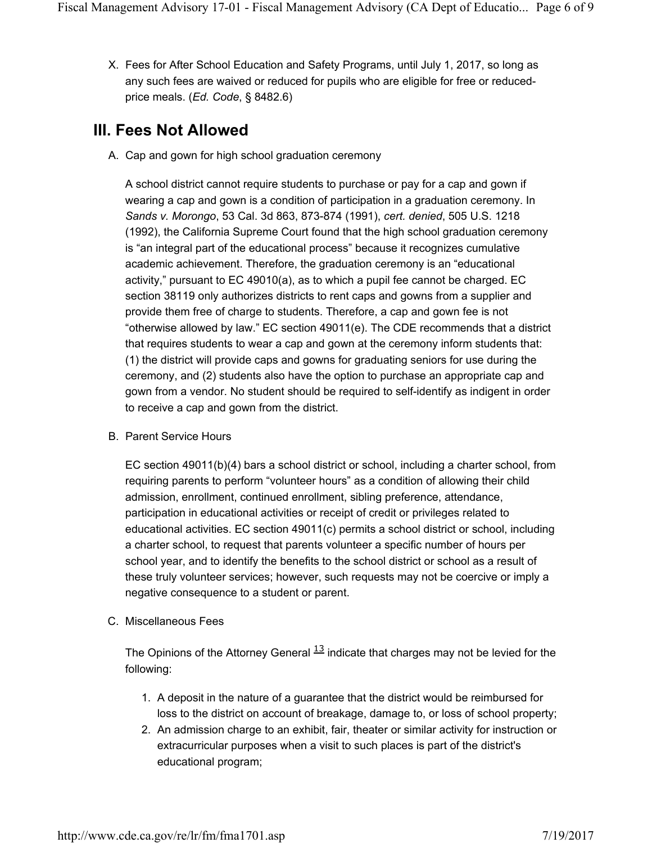X. Fees for After School Education and Safety Programs, until July 1, 2017, so long as any such fees are waived or reduced for pupils who are eligible for free or reducedprice meals. (*Ed. Code*, § 8482.6)

## **III. Fees Not Allowed**

A. Cap and gown for high school graduation ceremony

A school district cannot require students to purchase or pay for a cap and gown if wearing a cap and gown is a condition of participation in a graduation ceremony. In *Sands v. Morongo*, 53 Cal. 3d 863, 873-874 (1991), *cert. denied*, 505 U.S. 1218 (1992), the California Supreme Court found that the high school graduation ceremony is "an integral part of the educational process" because it recognizes cumulative academic achievement. Therefore, the graduation ceremony is an "educational activity," pursuant to EC 49010(a), as to which a pupil fee cannot be charged. EC section 38119 only authorizes districts to rent caps and gowns from a supplier and provide them free of charge to students. Therefore, a cap and gown fee is not "otherwise allowed by law." EC section 49011(e). The CDE recommends that a district that requires students to wear a cap and gown at the ceremony inform students that: (1) the district will provide caps and gowns for graduating seniors for use during the ceremony, and (2) students also have the option to purchase an appropriate cap and gown from a vendor. No student should be required to self-identify as indigent in order to receive a cap and gown from the district.

B. Parent Service Hours

EC section 49011(b)(4) bars a school district or school, including a charter school, from requiring parents to perform "volunteer hours" as a condition of allowing their child admission, enrollment, continued enrollment, sibling preference, attendance, participation in educational activities or receipt of credit or privileges related to educational activities. EC section 49011(c) permits a school district or school, including a charter school, to request that parents volunteer a specific number of hours per school year, and to identify the benefits to the school district or school as a result of these truly volunteer services; however, such requests may not be coercive or imply a negative consequence to a student or parent.

C. Miscellaneous Fees

The Opinions of the Attorney General  $\frac{13}{1}$  indicate that charges may not be levied for the following:

- 1. A deposit in the nature of a guarantee that the district would be reimbursed for loss to the district on account of breakage, damage to, or loss of school property;
- 2. An admission charge to an exhibit, fair, theater or similar activity for instruction or extracurricular purposes when a visit to such places is part of the district's educational program;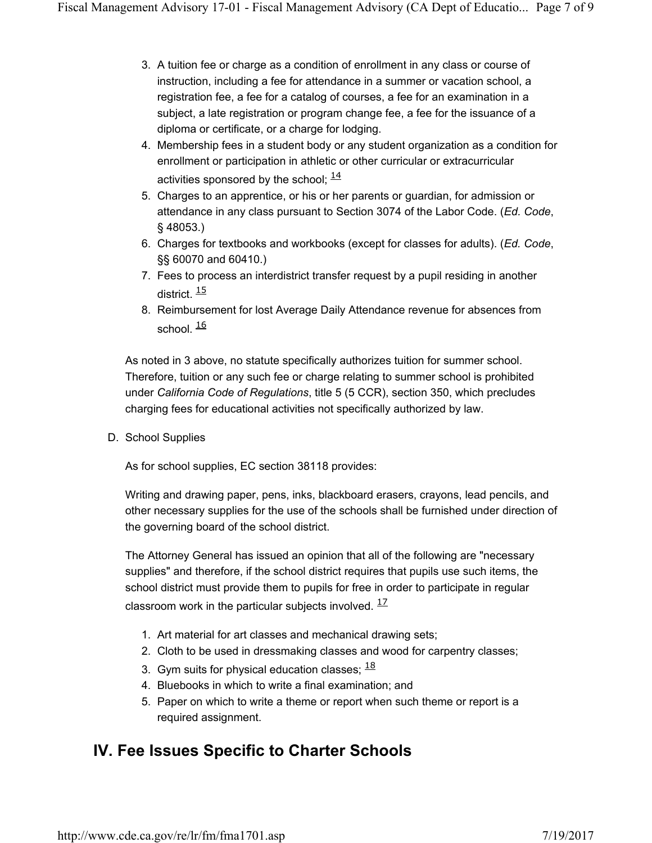- 3. A tuition fee or charge as a condition of enrollment in any class or course of instruction, including a fee for attendance in a summer or vacation school, a registration fee, a fee for a catalog of courses, a fee for an examination in a subject, a late registration or program change fee, a fee for the issuance of a diploma or certificate, or a charge for lodging.
- 4. Membership fees in a student body or any student organization as a condition for enrollment or participation in athletic or other curricular or extracurricular activities sponsored by the school;  $14$
- 5. Charges to an apprentice, or his or her parents or guardian, for admission or attendance in any class pursuant to Section 3074 of the Labor Code. (*Ed. Code*, § 48053.)
- 6. Charges for textbooks and workbooks (except for classes for adults). (*Ed. Code*, §§ 60070 and 60410.)
- 7. Fees to process an interdistrict transfer request by a pupil residing in another district  $\frac{15}{15}$
- 8. Reimbursement for lost Average Daily Attendance revenue for absences from school.  $\frac{16}{5}$

As noted in 3 above, no statute specifically authorizes tuition for summer school. Therefore, tuition or any such fee or charge relating to summer school is prohibited under *California Code of Regulations*, title 5 (5 CCR), section 350, which precludes charging fees for educational activities not specifically authorized by law.

D. School Supplies

As for school supplies, EC section 38118 provides:

Writing and drawing paper, pens, inks, blackboard erasers, crayons, lead pencils, and other necessary supplies for the use of the schools shall be furnished under direction of the governing board of the school district.

The Attorney General has issued an opinion that all of the following are "necessary supplies" and therefore, if the school district requires that pupils use such items, the school district must provide them to pupils for free in order to participate in regular classroom work in the particular subjects involved.  $17/2$ 

- 1. Art material for art classes and mechanical drawing sets;
- 2. Cloth to be used in dressmaking classes and wood for carpentry classes;
- 3. Gym suits for physical education classes;  $\frac{18}{10}$
- 4. Bluebooks in which to write a final examination; and
- 5. Paper on which to write a theme or report when such theme or report is a required assignment.

## **IV. Fee Issues Specific to Charter Schools**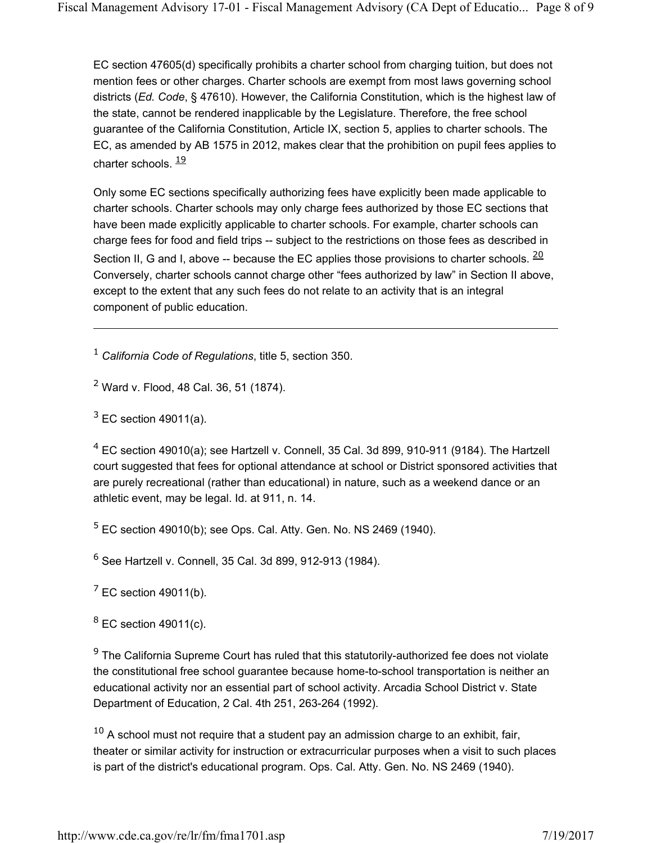EC section 47605(d) specifically prohibits a charter school from charging tuition, but does not mention fees or other charges. Charter schools are exempt from most laws governing school districts (*Ed. Code*, § 47610). However, the California Constitution, which is the highest law of the state, cannot be rendered inapplicable by the Legislature. Therefore, the free school guarantee of the California Constitution, Article IX, section 5, applies to charter schools. The EC, as amended by AB 1575 in 2012, makes clear that the prohibition on pupil fees applies to charter schools.  $\frac{19}{1}$ 

Only some EC sections specifically authorizing fees have explicitly been made applicable to charter schools. Charter schools may only charge fees authorized by those EC sections that have been made explicitly applicable to charter schools. For example, charter schools can charge fees for food and field trips -- subject to the restrictions on those fees as described in Section II, G and I, above -- because the EC applies those provisions to charter schools.  $\frac{20}{ }$ Conversely, charter schools cannot charge other "fees authorized by law" in Section II above, except to the extent that any such fees do not relate to an activity that is an integral component of public education.

<sup>1</sup> *California Code of Regulations*, title 5, section 350.

<sup>2</sup> Ward v. Flood, 48 Cal. 36, 51 (1874).

 $3$  EC section 49011(a).

 $4$  EC section 49010(a); see Hartzell v. Connell, 35 Cal. 3d 899, 910-911 (9184). The Hartzell court suggested that fees for optional attendance at school or District sponsored activities that are purely recreational (rather than educational) in nature, such as a weekend dance or an athletic event, may be legal. Id. at 911, n. 14.

 $5$  EC section 49010(b); see Ops. Cal. Atty. Gen. No. NS 2469 (1940).

<sup>6</sup> See Hartzell v. Connell, 35 Cal. 3d 899, 912-913 (1984).

 $<sup>7</sup>$  EC section 49011(b).</sup>

 $8$  EC section 49011(c).

 $9$  The California Supreme Court has ruled that this statutorily-authorized fee does not violate the constitutional free school guarantee because home-to-school transportation is neither an educational activity nor an essential part of school activity. Arcadia School District v. State Department of Education, 2 Cal. 4th 251, 263-264 (1992).

 $10$  A school must not require that a student pay an admission charge to an exhibit, fair, theater or similar activity for instruction or extracurricular purposes when a visit to such places is part of the district's educational program. Ops. Cal. Atty. Gen. No. NS 2469 (1940).